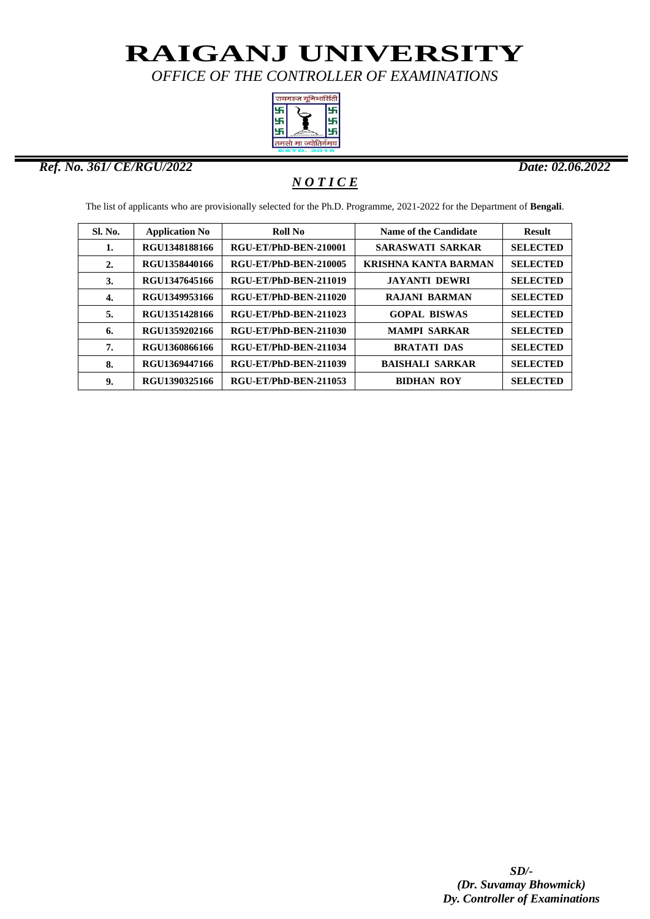*OFFICE OF THE CONTROLLER OF EXAMINATIONS*



#### *Ref. No. 361/ CE/RGU/2022 Date: 02.06.2022*

ı

### *N O T I C E*

The list of applicants who are provisionally selected for the Ph.D. Programme, 2021-2022 for the Department of **Bengali**.

| <b>Sl. No.</b> | <b>Application No</b> | <b>Roll No</b>        | Name of the Candidate       | <b>Result</b>   |
|----------------|-----------------------|-----------------------|-----------------------------|-----------------|
| 1.             | RGU1348188166         | RGU-ET/PhD-BEN-210001 | <b>SARASWATI SARKAR</b>     | <b>SELECTED</b> |
| 2.             | RGU1358440166         | RGU-ET/PhD-BEN-210005 | <b>KRISHNA KANTA BARMAN</b> | <b>SELECTED</b> |
| 3.             | RGU1347645166         | RGU-ET/PhD-BEN-211019 | <b>JAYANTI DEWRI</b>        | <b>SELECTED</b> |
| 4.             | RGU1349953166         | RGU-ET/PhD-BEN-211020 | <b>RAJANI BARMAN</b>        | <b>SELECTED</b> |
| 5.             | RGU1351428166         | RGU-ET/PhD-BEN-211023 | <b>GOPAL BISWAS</b>         | <b>SELECTED</b> |
| 6.             | RGU1359202166         | RGU-ET/PhD-BEN-211030 | <b>MAMPI SARKAR</b>         | <b>SELECTED</b> |
| 7.             | RGU1360866166         | RGU-ET/PhD-BEN-211034 | <b>BRATATI DAS</b>          | <b>SELECTED</b> |
| 8.             | RGU1369447166         | RGU-ET/PhD-BEN-211039 | <b>BAISHALI SARKAR</b>      | <b>SELECTED</b> |
| 9.             | RGU1390325166         | RGU-ET/PhD-BEN-211053 | <b>BIDHAN ROY</b>           | <b>SELECTED</b> |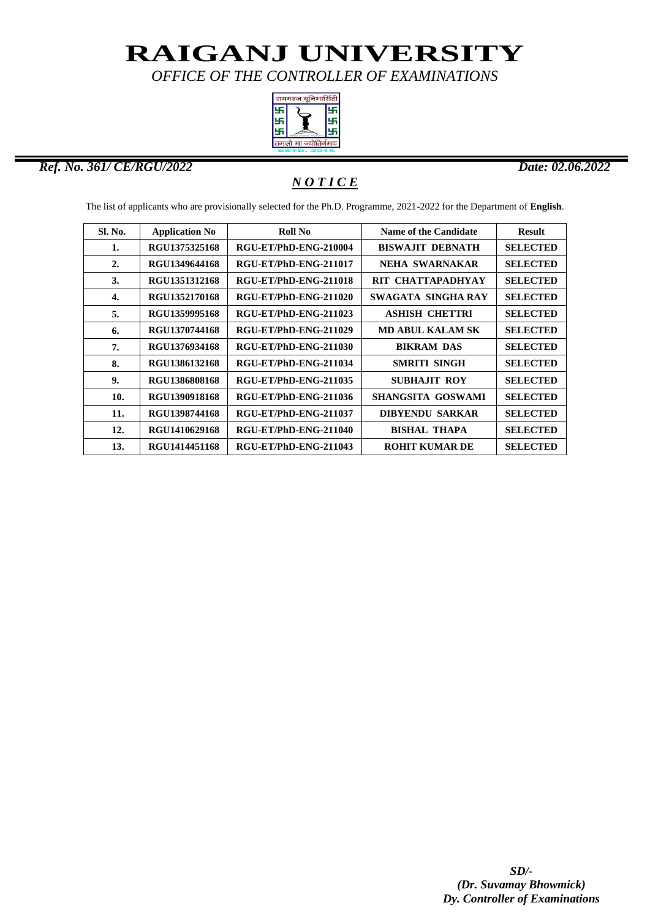*OFFICE OF THE CONTROLLER OF EXAMINATIONS*



#### *Ref. No. 361/ CE/RGU/2022 Date: 02.06.2022*

ı

### *N O T I C E*

The list of applicants who are provisionally selected for the Ph.D. Programme, 2021-2022 for the Department of **English**.

| Sl. No. | <b>Application No</b> | Roll No                      | <b>Name of the Candidate</b> | <b>Result</b>   |
|---------|-----------------------|------------------------------|------------------------------|-----------------|
| 1.      | RGU1375325168         | RGU-ET/PhD-ENG-210004        | <b>BISWAJIT DEBNATH</b>      | <b>SELECTED</b> |
| 2.      | RGU1349644168         | RGU-ET/PhD-ENG-211017        | NEHA SWARNAKAR               | <b>SELECTED</b> |
| 3.      | RGU1351312168         | RGU-ET/PhD-ENG-211018        | RIT CHATTAPADHYAY            | <b>SELECTED</b> |
| 4.      | RGU1352170168         | RGU-ET/PhD-ENG-211020        | SWAGATA SINGHA RAY           | <b>SELECTED</b> |
| 5.      | RGU1359995168         | <b>RGU-ET/PhD-ENG-211023</b> | <b>ASHISH CHETTRI</b>        | <b>SELECTED</b> |
| 6.      | RGU1370744168         | RGU-ET/PhD-ENG-211029        | <b>MD ABUL KALAM SK</b>      | <b>SELECTED</b> |
| 7.      | RGU1376934168         | RGU-ET/PhD-ENG-211030        | <b>BIKRAM DAS</b>            | <b>SELECTED</b> |
| 8.      | RGU1386132168         | RGU-ET/PhD-ENG-211034        | <b>SMRITI SINGH</b>          | <b>SELECTED</b> |
| 9.      | RGU1386808168         | RGU-ET/PhD-ENG-211035        | <b>SUBHAJIT ROY</b>          | <b>SELECTED</b> |
| 10.     | RGU1390918168         | RGU-ET/PhD-ENG-211036        | SHANGSITA GOSWAMI            | <b>SELECTED</b> |
| 11.     | RGU1398744168         | RGU-ET/PhD-ENG-211037        | <b>DIBYENDU SARKAR</b>       | <b>SELECTED</b> |
| 12.     | RGU1410629168         | RGU-ET/PhD-ENG-211040        | <b>BISHAL THAPA</b>          | <b>SELECTED</b> |
| 13.     | RGU1414451168         | RGU-ET/PhD-ENG-211043        | <b>ROHIT KUMAR DE</b>        | <b>SELECTED</b> |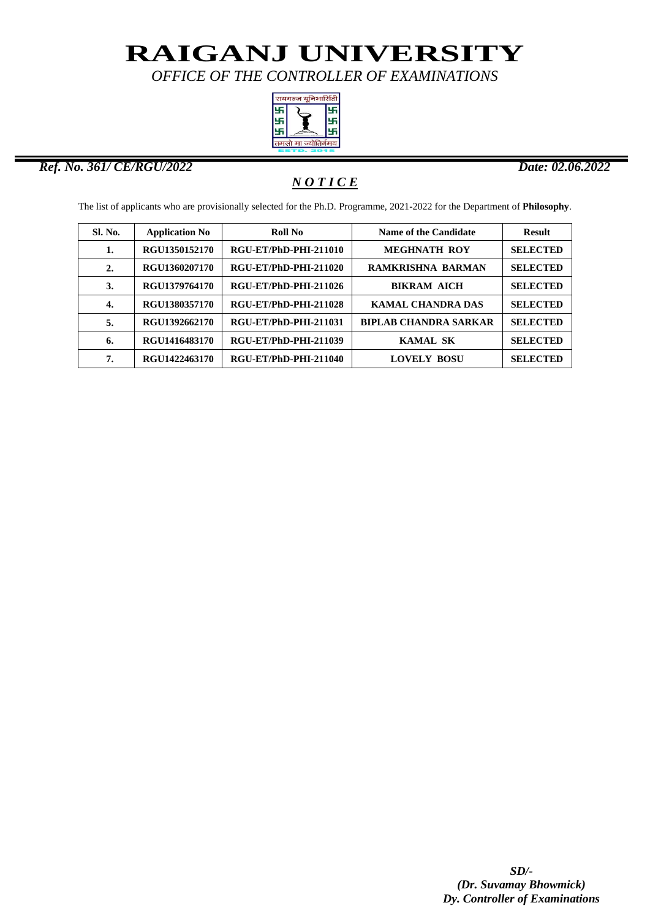*OFFICE OF THE CONTROLLER OF EXAMINATIONS*



#### *Ref. No. 361/ CE/RGU/2022 Date: 02.06.2022*

ı

### *N O T I C E*

The list of applicants who are provisionally selected for the Ph.D. Programme, 2021-2022 for the Department of **Philosophy**.

| <b>Sl. No.</b> | <b>Application No</b> | Roll No               | <b>Name of the Candidate</b> | <b>Result</b>   |
|----------------|-----------------------|-----------------------|------------------------------|-----------------|
| 1.             | RGU1350152170         | RGU-ET/PhD-PHI-211010 | <b>MEGHNATH ROY</b>          | <b>SELECTED</b> |
| 2.             | RGU1360207170         | RGU-ET/PhD-PHI-211020 | <b>RAMKRISHNA BARMAN</b>     | <b>SELECTED</b> |
| 3.             | RGU1379764170         | RGU-ET/PhD-PHI-211026 | <b>BIKRAM AICH</b>           | <b>SELECTED</b> |
| 4.             | RGU1380357170         | RGU-ET/PhD-PHI-211028 | <b>KAMAL CHANDRA DAS</b>     | <b>SELECTED</b> |
| 5.             | RGU1392662170         | RGU-ET/PhD-PHI-211031 | <b>BIPLAB CHANDRA SARKAR</b> | <b>SELECTED</b> |
| 6.             | RGU1416483170         | RGU-ET/PhD-PHI-211039 | <b>KAMAL SK</b>              | <b>SELECTED</b> |
| 7.             | RGU1422463170         | RGU-ET/PhD-PHI-211040 | <b>LOVELY BOSU</b>           | <b>SELECTED</b> |
|                |                       |                       |                              |                 |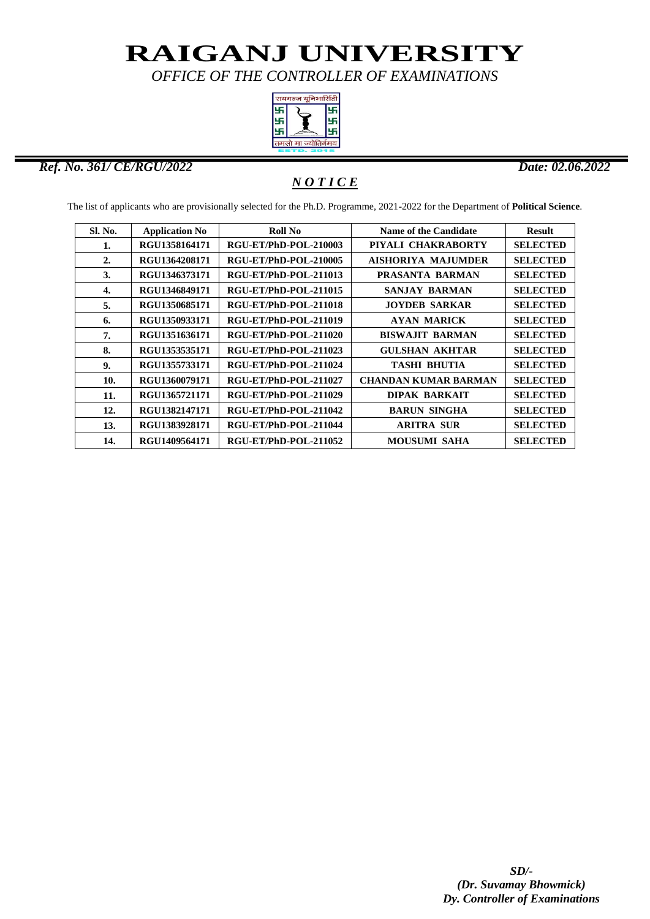*OFFICE OF THE CONTROLLER OF EXAMINATIONS*



#### *Ref. No. 361/ CE/RGU/2022 Date: 02.06.2022*

ı

### *N O T I C E*

The list of applicants who are provisionally selected for the Ph.D. Programme, 2021-2022 for the Department of **Political Science**.

| Sl. No.          | <b>Application No</b> | Roll No               | <b>Name of the Candidate</b> | <b>Result</b>   |
|------------------|-----------------------|-----------------------|------------------------------|-----------------|
| 1.               | RGU1358164171         | RGU-ET/PhD-POL-210003 | PIYALI CHAKRABORTY           | <b>SELECTED</b> |
| $\overline{2}$ . | RGU1364208171         | RGU-ET/PhD-POL-210005 | <b>AISHORIYA MAJUMDER</b>    | <b>SELECTED</b> |
| 3.               | RGU1346373171         | RGU-ET/PhD-POL-211013 | PRASANTA BARMAN              | <b>SELECTED</b> |
| 4.               | RGU1346849171         | RGU-ET/PhD-POL-211015 | <b>SANJAY BARMAN</b>         | <b>SELECTED</b> |
| 5.               | RGU1350685171         | RGU-ET/PhD-POL-211018 | <b>JOYDEB SARKAR</b>         | <b>SELECTED</b> |
| 6.               | RGU1350933171         | RGU-ET/PhD-POL-211019 | <b>AYAN MARICK</b>           | <b>SELECTED</b> |
| 7.               | RGU1351636171         | RGU-ET/PhD-POL-211020 | <b>BISWAJIT BARMAN</b>       | <b>SELECTED</b> |
| 8.               | RGU1353535171         | RGU-ET/PhD-POL-211023 | <b>GULSHAN AKHTAR</b>        | <b>SELECTED</b> |
| 9.               | RGU1355733171         | RGU-ET/PhD-POL-211024 | <b>TASHI BHUTIA</b>          | <b>SELECTED</b> |
| 10.              | RGU1360079171         | RGU-ET/PhD-POL-211027 | <b>CHANDAN KUMAR BARMAN</b>  | <b>SELECTED</b> |
| 11.              | RGU1365721171         | RGU-ET/PhD-POL-211029 | <b>DIPAK BARKAIT</b>         | <b>SELECTED</b> |
| 12.              | RGU1382147171         | RGU-ET/PhD-POL-211042 | <b>BARUN SINGHA</b>          | <b>SELECTED</b> |
| 13.              | RGU1383928171         | RGU-ET/PhD-POL-211044 | <b>ARITRA SUR</b>            | <b>SELECTED</b> |
| 14.              | RGU1409564171         | RGU-ET/PhD-POL-211052 | <b>MOUSUMI SAHA</b>          | <b>SELECTED</b> |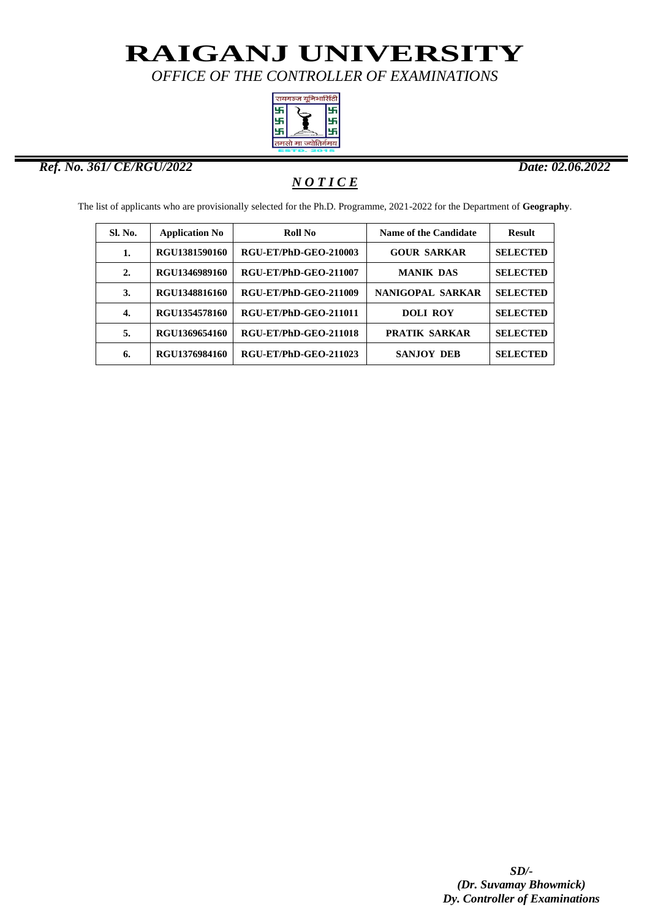*OFFICE OF THE CONTROLLER OF EXAMINATIONS*



#### *Ref. No. 361/ CE/RGU/2022 Date: 02.06.2022*

ı

### *N O T I C E*

The list of applicants who are provisionally selected for the Ph.D. Programme, 2021-2022 for the Department of **Geography**.

| Sl. No. | <b>Application No</b> | <b>Roll No</b>        | <b>Name of the Candidate</b> | <b>Result</b>   |
|---------|-----------------------|-----------------------|------------------------------|-----------------|
| 1.      | RGU1381590160         | RGU-ET/PhD-GEO-210003 | <b>GOUR SARKAR</b>           | <b>SELECTED</b> |
| 2.      | RGU1346989160         | RGU-ET/PhD-GEO-211007 | <b>MANIK DAS</b>             | <b>SELECTED</b> |
| 3.      | RGU1348816160         | RGU-ET/PhD-GEO-211009 | NANIGOPAL SARKAR             | <b>SELECTED</b> |
| 4.      | RGU1354578160         | RGU-ET/PhD-GEO-211011 | <b>DOLI ROY</b>              | <b>SELECTED</b> |
| 5.      | RGU1369654160         | RGU-ET/PhD-GEO-211018 | <b>PRATIK SARKAR</b>         | <b>SELECTED</b> |
| 6.      | RGU1376984160         | RGU-ET/PhD-GEO-211023 | <b>SANJOY DEB</b>            | <b>SELECTED</b> |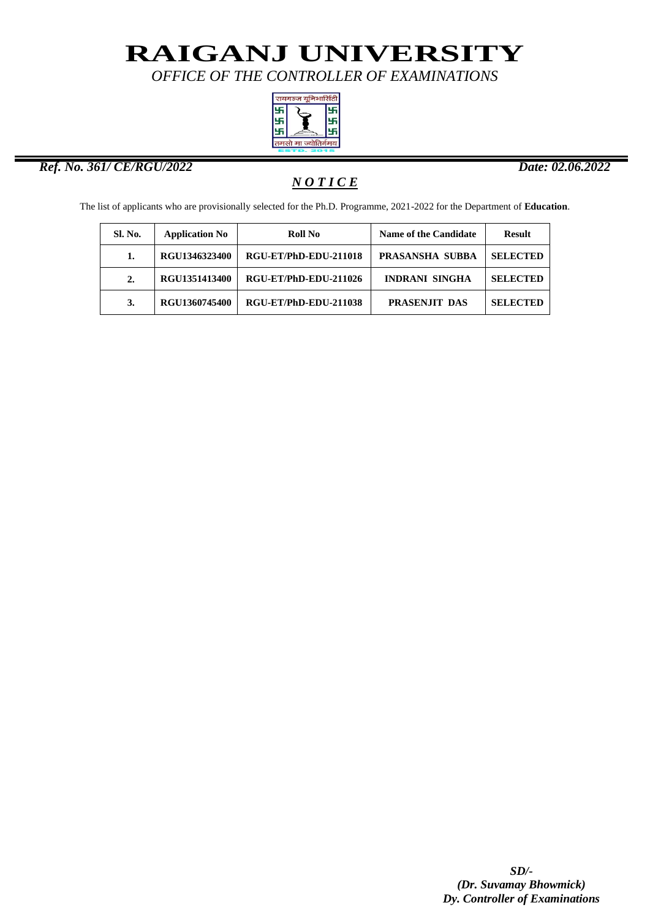*OFFICE OF THE CONTROLLER OF EXAMINATIONS*



#### *Ref. No. 361/ CE/RGU/2022 Date: 02.06.2022*

ı

### *N O T I C E*

The list of applicants who are provisionally selected for the Ph.D. Programme, 2021-2022 for the Department of **Education**.

| <b>Sl. No.</b>   | <b>Application No</b> | <b>Roll No</b>        | <b>Name of the Candidate</b> | <b>Result</b>   |
|------------------|-----------------------|-----------------------|------------------------------|-----------------|
| 1.               | RGU1346323400         | RGU-ET/PhD-EDU-211018 | PRASANSHA SUBBA              | <b>SELECTED</b> |
| $\overline{2}$ . | RGU1351413400         | RGU-ET/PhD-EDU-211026 | <b>INDRANI SINGHA</b>        | <b>SELECTED</b> |
| 3.               | RGU1360745400         | RGU-ET/PhD-EDU-211038 | PRASENJIT DAS                | <b>SELECTED</b> |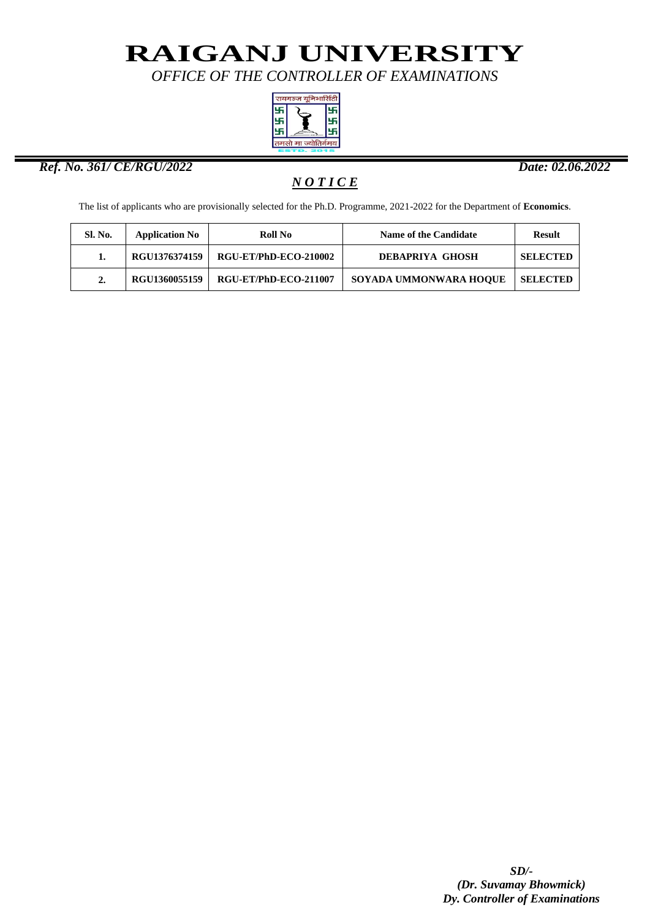*OFFICE OF THE CONTROLLER OF EXAMINATIONS*



#### *Ref. No. 361/ CE/RGU/2022 Date: 02.06.2022*

ı

### *N O T I C E*

The list of applicants who are provisionally selected for the Ph.D. Programme, 2021-2022 for the Department of **Economics**.

| Sl. No.          | <b>Application No</b> | Roll No                      | Name of the Candidate  | Result          |
|------------------|-----------------------|------------------------------|------------------------|-----------------|
| 1.               | RGU1376374159         | RGU-ET/PhD-ECO-210002        | DEBAPRIYA GHOSH        | <b>SELECTED</b> |
| $\overline{2}$ . | <b>RGU1360055159</b>  | <b>RGU-ET/PhD-ECO-211007</b> | SOYADA UMMONWARA HOOUE | <b>SELECTED</b> |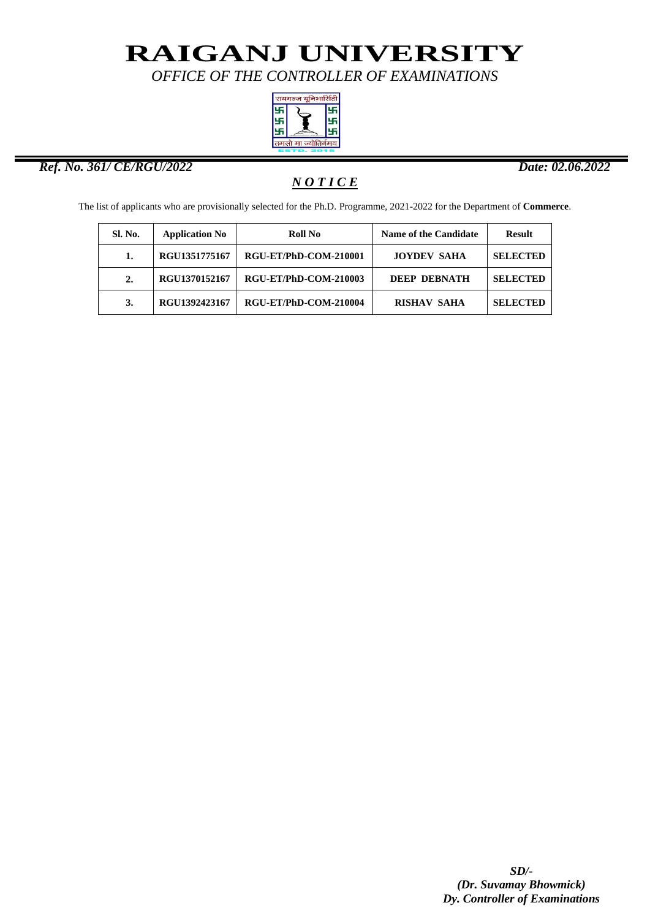*OFFICE OF THE CONTROLLER OF EXAMINATIONS*



#### *Ref. No. 361/ CE/RGU/2022 Date: 02.06.2022*

ı

### *N O T I C E*

The list of applicants who are provisionally selected for the Ph.D. Programme, 2021-2022 for the Department of **Commerce**.

| Sl. No.          | <b>Application No</b> | <b>Roll No</b>        | <b>Name of the Candidate</b> | <b>Result</b>   |
|------------------|-----------------------|-----------------------|------------------------------|-----------------|
|                  | RGU1351775167         | RGU-ET/PhD-COM-210001 | <b>JOYDEV SAHA</b>           | <b>SELECTED</b> |
| $\overline{2}$ . | RGU1370152167         | RGU-ET/PhD-COM-210003 | DEEP DEBNATH                 | <b>SELECTED</b> |
| 3.               | RGU1392423167         | RGU-ET/PhD-COM-210004 | <b>RISHAV SAHA</b>           | <b>SELECTED</b> |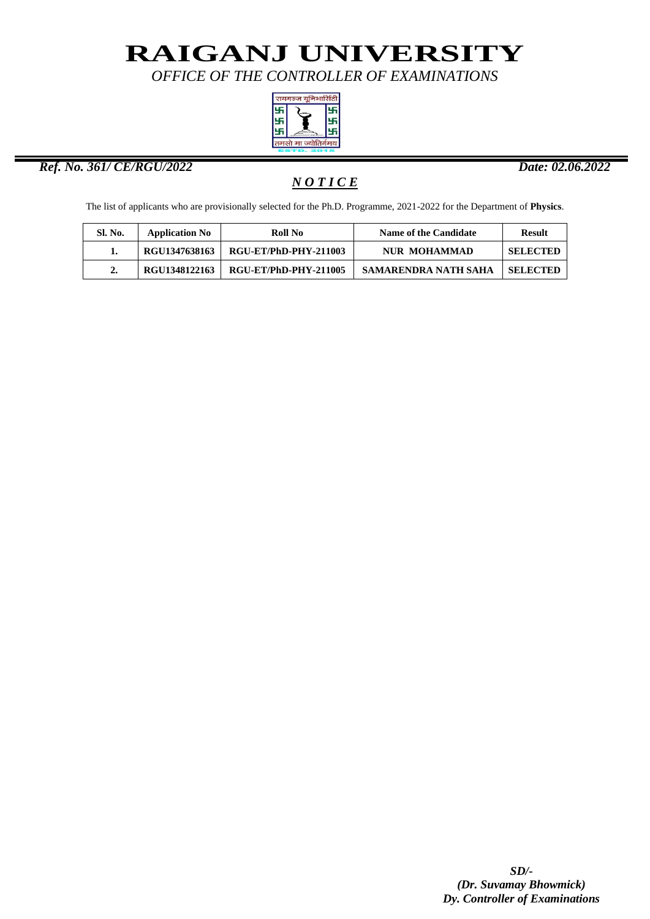*OFFICE OF THE CONTROLLER OF EXAMINATIONS*



#### *Ref. No. 361/ CE/RGU/2022 Date: 02.06.2022*

ı

*N O T I C E*

The list of applicants who are provisionally selected for the Ph.D. Programme, 2021-2022 for the Department of **Physics**.

| Sl. No. | <b>Application No</b> | Roll No               | <b>Name of the Candidate</b> | Result          |
|---------|-----------------------|-----------------------|------------------------------|-----------------|
|         | RGU1347638163         | RGU-ET/PhD-PHY-211003 | <b>NUR MOHAMMAD</b>          | <b>SELECTED</b> |
| 2.      | RGU1348122163         | RGU-ET/PhD-PHY-211005 | SAMARENDRA NATH SAHA         | <b>SELECTED</b> |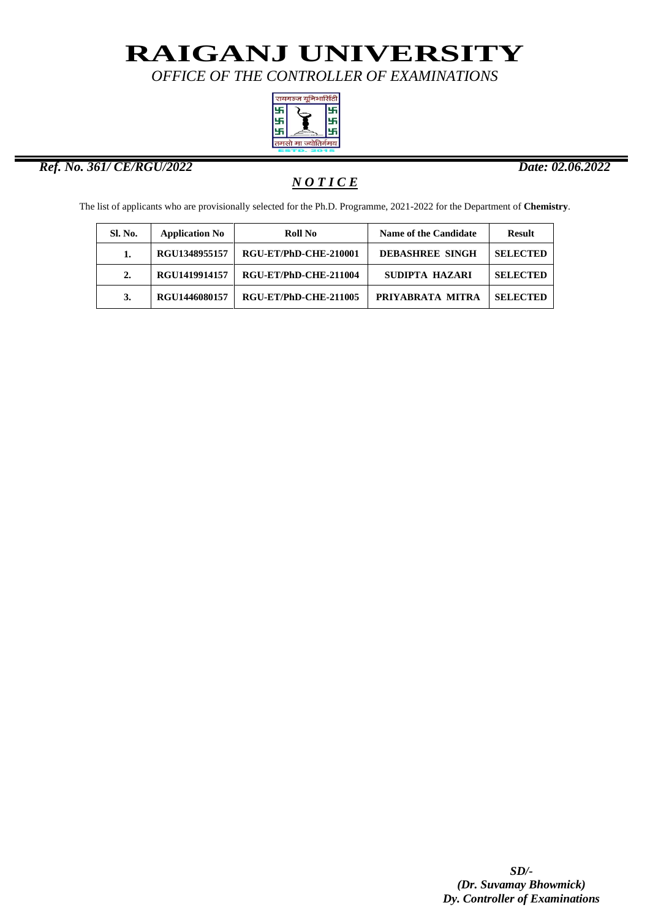*OFFICE OF THE CONTROLLER OF EXAMINATIONS*



#### *Ref. No. 361/ CE/RGU/2022 Date: 02.06.2022*

ı

### *N O T I C E*

The list of applicants who are provisionally selected for the Ph.D. Programme, 2021-2022 for the Department of **Chemistry**.

| <b>Sl. No.</b> | <b>Application No</b> | Roll No               | <b>Name of the Candidate</b> | <b>Result</b>   |
|----------------|-----------------------|-----------------------|------------------------------|-----------------|
|                | RGU1348955157         | RGU-ET/PhD-CHE-210001 | <b>DEBASHREE SINGH</b>       | <b>SELECTED</b> |
| 2.             | RGU1419914157         | RGU-ET/PhD-CHE-211004 | SUDIPTA HAZARI               | <b>SELECTED</b> |
| 3.             | RGU1446080157         | RGU-ET/PhD-CHE-211005 | PRIYABRATA MITRA             | <b>SELECTED</b> |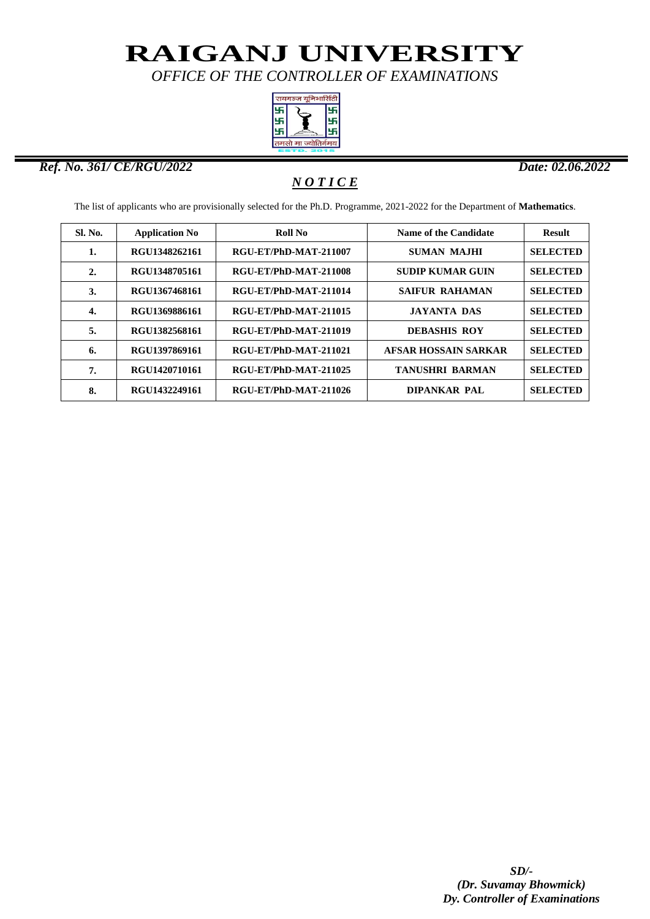*OFFICE OF THE CONTROLLER OF EXAMINATIONS*



#### *Ref. No. 361/ CE/RGU/2022 Date: 02.06.2022*

ı

### *N O T I C E*

The list of applicants who are provisionally selected for the Ph.D. Programme, 2021-2022 for the Department of **Mathematics**.

| <b>Sl. No.</b> | <b>Application No</b> | Roll No               | Name of the Candidate       | <b>Result</b>   |
|----------------|-----------------------|-----------------------|-----------------------------|-----------------|
| 1.             | RGU1348262161         | RGU-ET/PhD-MAT-211007 | <b>SUMAN MAJHI</b>          | <b>SELECTED</b> |
| 2.             | RGU1348705161         | RGU-ET/PhD-MAT-211008 | <b>SUDIP KUMAR GUIN</b>     | <b>SELECTED</b> |
| 3.             | RGU1367468161         | RGU-ET/PhD-MAT-211014 | <b>SAIFUR RAHAMAN</b>       | <b>SELECTED</b> |
| 4.             | RGU1369886161         | RGU-ET/PhD-MAT-211015 | <b>JAYANTA DAS</b>          | <b>SELECTED</b> |
| 5.             | RGU1382568161         | RGU-ET/PhD-MAT-211019 | <b>DEBASHIS ROY</b>         | <b>SELECTED</b> |
| 6.             | RGU1397869161         | RGU-ET/PhD-MAT-211021 | <b>AFSAR HOSSAIN SARKAR</b> | <b>SELECTED</b> |
| 7.             | RGU1420710161         | RGU-ET/PhD-MAT-211025 | <b>TANUSHRI BARMAN</b>      | <b>SELECTED</b> |
| 8.             | RGU1432249161         | RGU-ET/PhD-MAT-211026 | <b>DIPANKAR PAL</b>         | <b>SELECTED</b> |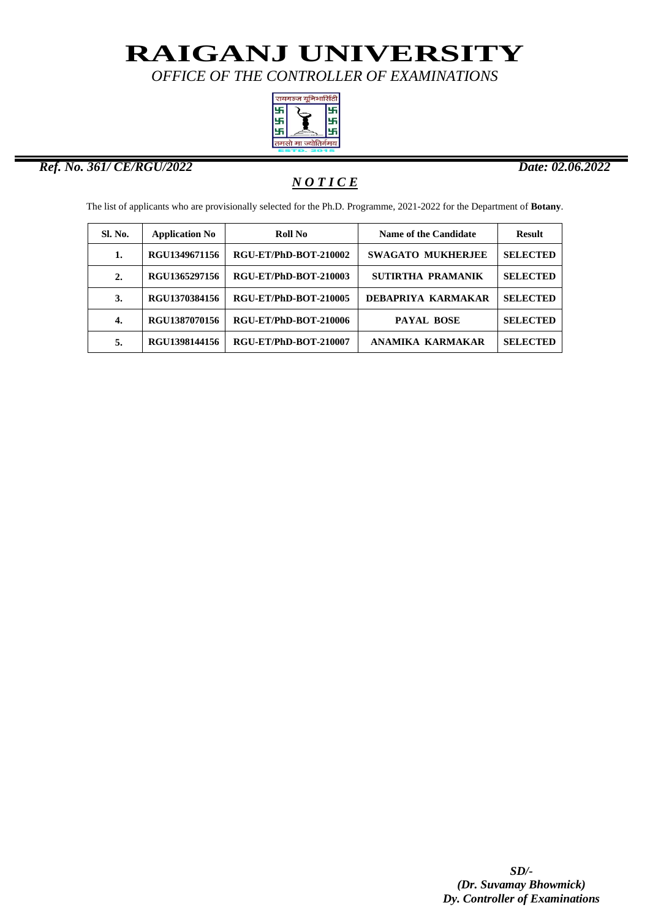*OFFICE OF THE CONTROLLER OF EXAMINATIONS*



#### *Ref. No. 361/ CE/RGU/2022 Date: 02.06.2022*

ı

### *N O T I C E*

The list of applicants who are provisionally selected for the Ph.D. Programme, 2021-2022 for the Department of **Botany**.

| <b>Sl. No.</b>   | <b>Application No</b> | Roll No               | <b>Name of the Candidate</b> | <b>Result</b>   |
|------------------|-----------------------|-----------------------|------------------------------|-----------------|
| 1.               | RGU1349671156         | RGU-ET/PhD-BOT-210002 | <b>SWAGATO MUKHERJEE</b>     | <b>SELECTED</b> |
| $\overline{2}$ . | RGU1365297156         | RGU-ET/PhD-BOT-210003 | SUTIRTHA PRAMANIK            | <b>SELECTED</b> |
| 3.               | RGU1370384156         | RGU-ET/PhD-BOT-210005 | DEBAPRIYA KARMAKAR           | <b>SELECTED</b> |
| 4.               | RGU1387070156         | RGU-ET/PhD-BOT-210006 | <b>PAYAL BOSE</b>            | <b>SELECTED</b> |
| 5.               | RGU1398144156         | RGU-ET/PhD-BOT-210007 | ANAMIKA KARMAKAR             | <b>SELECTED</b> |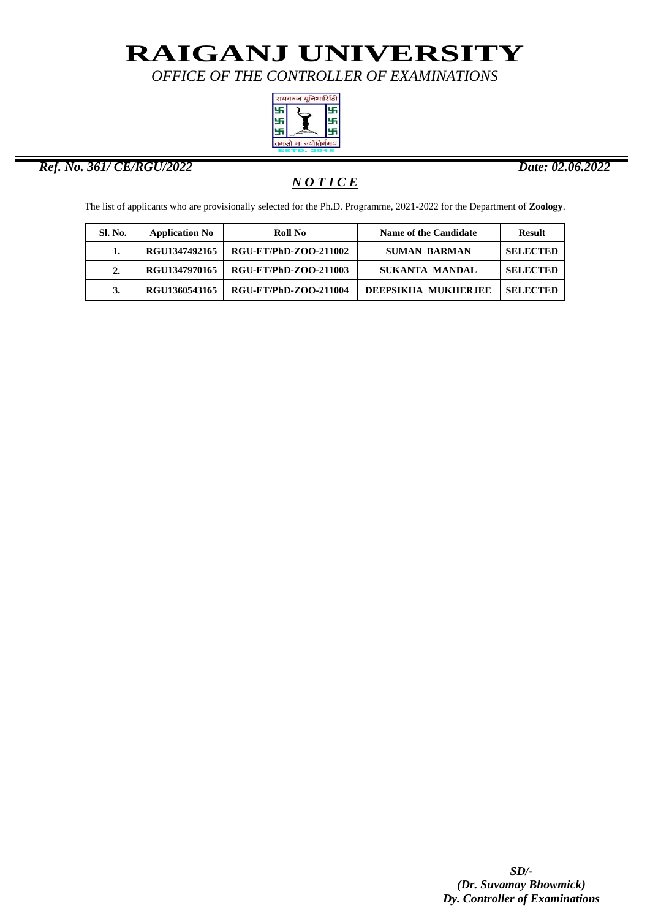*OFFICE OF THE CONTROLLER OF EXAMINATIONS*



#### *Ref. No. 361/ CE/RGU/2022 Date: 02.06.2022*

ı

### *N O T I C E*

The list of applicants who are provisionally selected for the Ph.D. Programme, 2021-2022 for the Department of **Zoology**.

| <b>Sl. No.</b>   | <b>Application No</b> | Roll No                      | Name of the Candidate      | <b>Result</b>   |
|------------------|-----------------------|------------------------------|----------------------------|-----------------|
|                  | RGU1347492165         | <b>RGU-ET/PhD-ZOO-211002</b> | <b>SUMAN BARMAN</b>        | <b>SELECTED</b> |
| $\overline{2}$ . | RGU1347970165         | <b>RGU-ET/PhD-ZOO-211003</b> | <b>SUKANTA MANDAL</b>      | <b>SELECTED</b> |
| 3.               | RGU1360543165         | <b>RGU-ET/PhD-ZOO-211004</b> | <b>DEEPSIKHA MUKHERJEE</b> | <b>SELECTED</b> |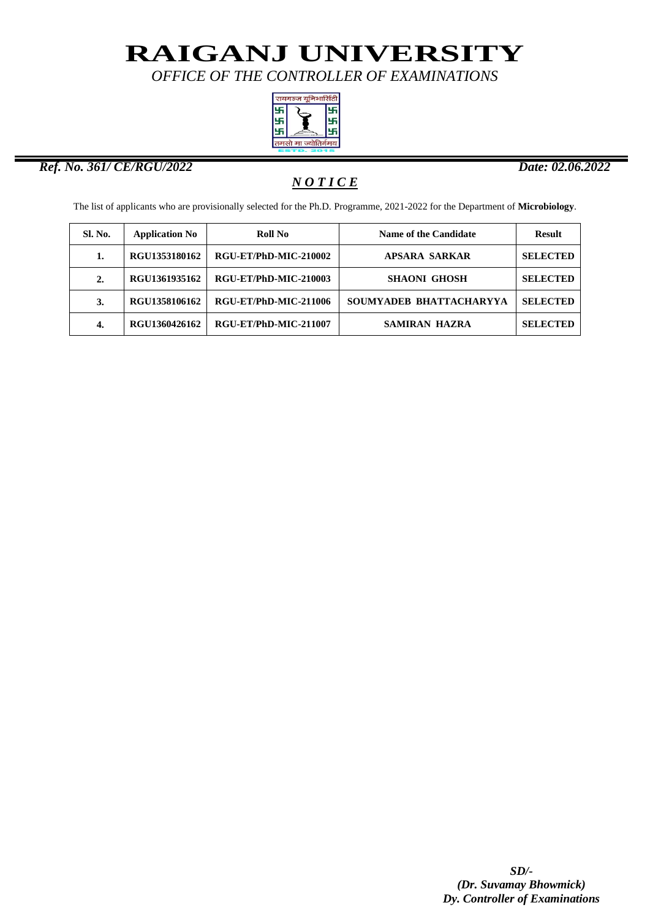*OFFICE OF THE CONTROLLER OF EXAMINATIONS*



#### *Ref. No. 361/ CE/RGU/2022 Date: 02.06.2022*

ı

### *N O T I C E*

The list of applicants who are provisionally selected for the Ph.D. Programme, 2021-2022 for the Department of **Microbiology**.

| <b>Sl. No.</b> | <b>Application No</b> | Roll No               | <b>Name of the Candidate</b> | <b>Result</b>   |
|----------------|-----------------------|-----------------------|------------------------------|-----------------|
| 1.             | RGU1353180162         | RGU-ET/PhD-MIC-210002 | <b>APSARA SARKAR</b>         | <b>SELECTED</b> |
| 2.             | RGU1361935162         | RGU-ET/PhD-MIC-210003 | <b>SHAONI GHOSH</b>          | <b>SELECTED</b> |
| 3.             | RGU1358106162         | RGU-ET/PhD-MIC-211006 | SOUMYADEB BHATTACHARYYA      | <b>SELECTED</b> |
| 4.             | RGU1360426162         | RGU-ET/PhD-MIC-211007 | <b>SAMIRAN HAZRA</b>         | <b>SELECTED</b> |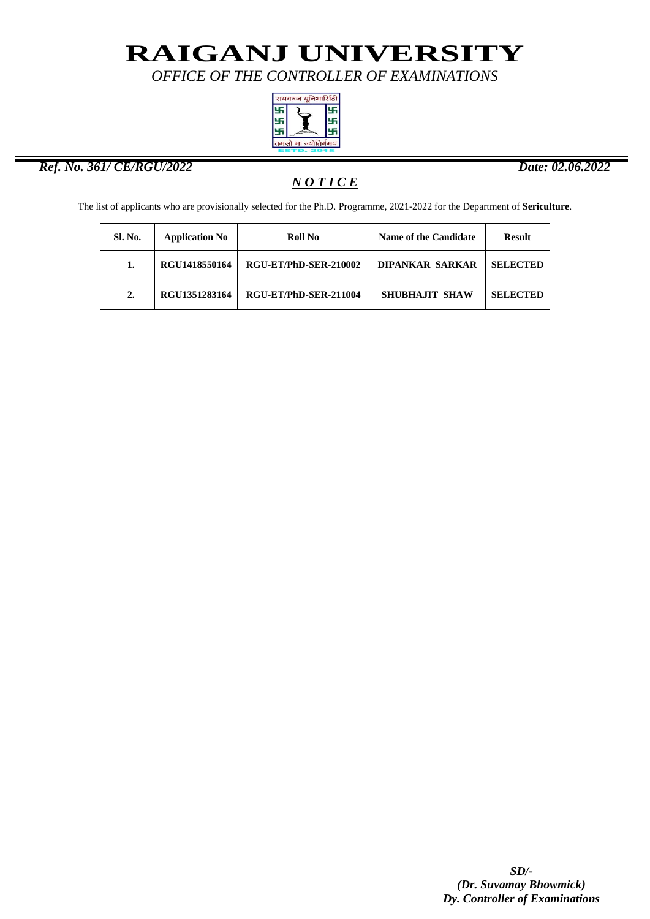*OFFICE OF THE CONTROLLER OF EXAMINATIONS*



#### *Ref. No. 361/ CE/RGU/2022 Date: 02.06.2022*

ı

### *N O T I C E*

The list of applicants who are provisionally selected for the Ph.D. Programme, 2021-2022 for the Department of **Sericulture**.

| <b>Sl. No.</b>   | <b>Application No</b> | Roll No               | Name of the Candidate  | <b>Result</b>   |
|------------------|-----------------------|-----------------------|------------------------|-----------------|
|                  | RGU1418550164         | RGU-ET/PhD-SER-210002 | <b>DIPANKAR SARKAR</b> | <b>SELECTED</b> |
| $\overline{2}$ . | RGU1351283164         | RGU-ET/PhD-SER-211004 | <b>SHUBHAJIT SHAW</b>  | <b>SELECTED</b> |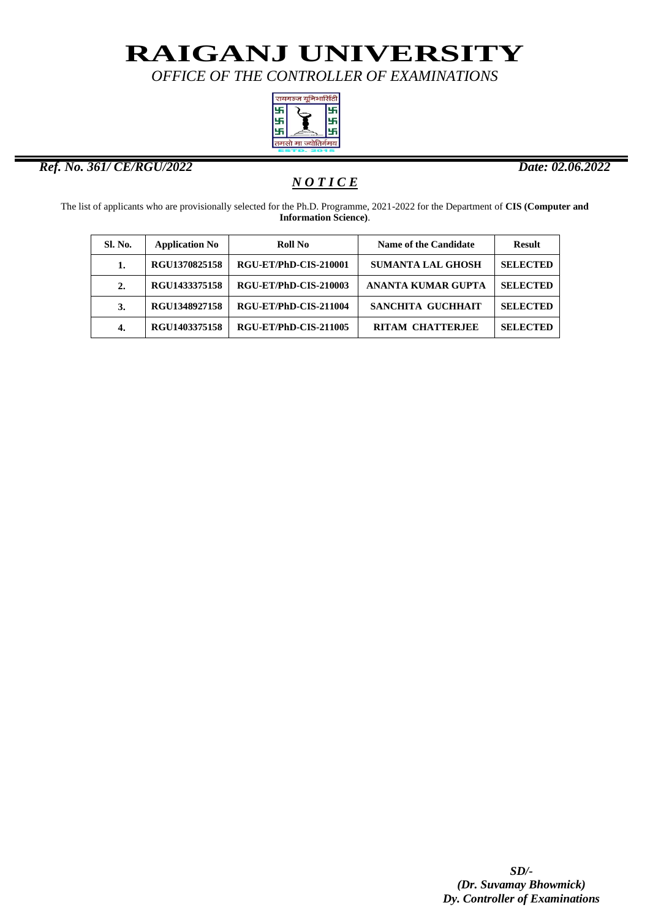*OFFICE OF THE CONTROLLER OF EXAMINATIONS*



#### *Ref. No. 361/ CE/RGU/2022 Date: 02.06.2022*

ı

### *N O T I C E*

The list of applicants who are provisionally selected for the Ph.D. Programme, 2021-2022 for the Department of **CIS (Computer and Information Science)**.

| Sl. No.          | <b>Application No</b> | <b>Roll No</b>        | <b>Name of the Candidate</b> | <b>Result</b>   |
|------------------|-----------------------|-----------------------|------------------------------|-----------------|
| 1.               | RGU1370825158         | RGU-ET/PhD-CIS-210001 | <b>SUMANTA LAL GHOSH</b>     | <b>SELECTED</b> |
| $\overline{2}$ . | RGU1433375158         | RGU-ET/PhD-CIS-210003 | <b>ANANTA KUMAR GUPTA</b>    | <b>SELECTED</b> |
| 3.               | RGU1348927158         | RGU-ET/PhD-CIS-211004 | SANCHITA GUCHHAIT            | <b>SELECTED</b> |
| 4.               | RGU1403375158         | RGU-ET/PhD-CIS-211005 | <b>RITAM CHATTERJEE</b>      | <b>SELECTED</b> |